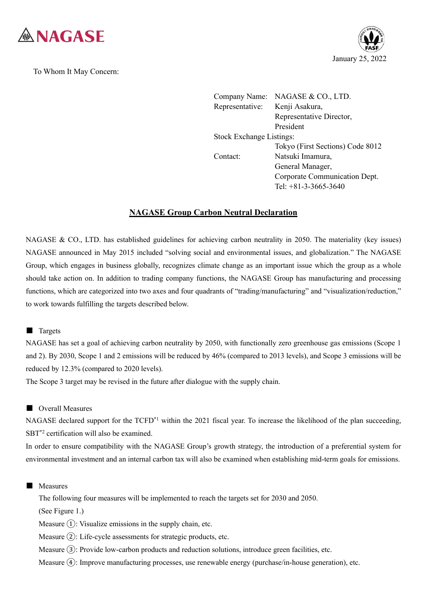

To Whom It May Concern:



Company Name: NAGASE & CO., LTD. Representative: Kenji Asakura, Representative Director, President Stock Exchange Listings: Tokyo (First Sections) Code 8012 Contact: Natsuki Imamura, General Manager, Corporate Communication Dept. Tel: +81-3-3665-3640

# **NAGASE Group Carbon Neutral Declaration**

NAGASE & CO., LTD. has established guidelines for achieving carbon neutrality in 2050. The materiality (key issues) NAGASE announced in May 2015 included "solving social and environmental issues, and globalization." The NAGASE Group, which engages in business globally, recognizes climate change as an important issue which the group as a whole should take action on. In addition to trading company functions, the NAGASE Group has manufacturing and processing functions, which are categorized into two axes and four quadrants of "trading/manufacturing" and "visualization/reduction," to work towards fulfilling the targets described below.

## ■ Targets

NAGASE has set a goal of achieving carbon neutrality by 2050, with functionally zero greenhouse gas emissions (Scope 1 and 2). By 2030, Scope 1 and 2 emissions will be reduced by 46% (compared to 2013 levels), and Scope 3 emissions will be reduced by 12.3% (compared to 2020 levels).

The Scope 3 target may be revised in the future after dialogue with the supply chain.

## ■ Overall Measures

NAGASE declared support for the  $TCFD<sup>*</sup>$  within the 2021 fiscal year. To increase the likelihood of the plan succeeding, SBT\*2 certification will also be examined.

In order to ensure compatibility with the NAGASE Group's growth strategy, the introduction of a preferential system for environmental investment and an internal carbon tax will also be examined when establishing mid-term goals for emissions.

### ■ Measures

The following four measures will be implemented to reach the targets set for 2030 and 2050.

(See Figure 1.)

Measure  $(1)$ : Visualize emissions in the supply chain, etc.

Measure ②: Life-cycle assessments for strategic products, etc.

Measure ③: Provide low-carbon products and reduction solutions, introduce green facilities, etc.

Measure ④: Improve manufacturing processes, use renewable energy (purchase/in-house generation), etc.